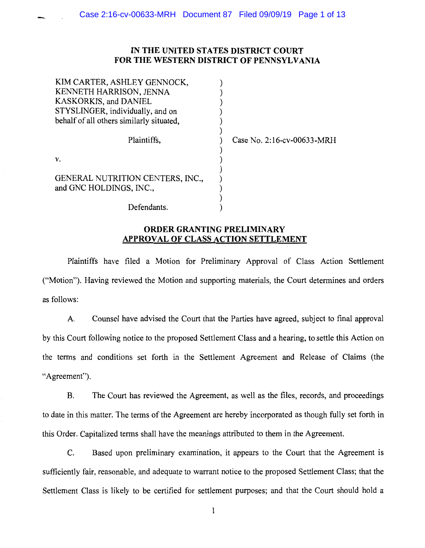## **IN THE UNITED STATES DISTRICT COURT FOR THE WESTERN DISTRICT OF PENNSYLVANIA**

| KIM CARTER, ASHLEY GENNOCK,              |  |
|------------------------------------------|--|
| KENNETH HARRISON, JENNA                  |  |
| KASKORKIS, and DANIEL                    |  |
| STYSLINGER, individually, and on         |  |
| behalf of all others similarly situated, |  |
|                                          |  |
| Plaintiffs,                              |  |
|                                          |  |
| V.                                       |  |
|                                          |  |
| GENERAL NUTRITION CENTERS, INC.,         |  |
| and GNC HOLDINGS, INC.,                  |  |
|                                          |  |
| Defendants.                              |  |
|                                          |  |

--

) Case No. 2:16-cv-00633-MRH

## **ORDER GRANTING PRELIMINARY APPROVAL OF CLASS ACTION SETTLEMENT**

Plaintiffs have filed a Motion for Preliminary Approval of Class Action Settlement ("Motion"). Having reviewed the Motion and supporting materials, the Court determines and orders as follows:

A. Counsel have advised the Court that the Parties have agreed, subject to final approval by this Court following notice to the proposed Settlement Class and a hearing, to settle this Action on the terms and conditions set forth in the Settlement Agreement and Release of Claims (the "Agreement").

B. The Court has reviewed the Agreement, as well as the files, records, and proceedings to date in this matter. The terms of the Agreement are hereby incorporated as though fully set forth in this Order. Capitalized terms shall have the meanings attributed to them in the Agreement.

C. Based upon preliminary examination, it appears to the Court that the Agreement is sufficiently fair, reasonable, and adequate to warrant notice to the proposed Settlement Class; that the Settlement Class is likely to be certified for settlement purposes; and that the Court should hold a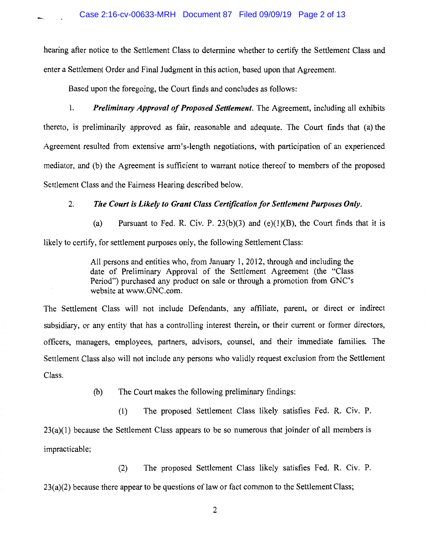hearing after notice to the Settlement Class to determine whether to certify the Settlement Class and enter a Settlement Order and Final Judgment in this action, based upon that Agreement.

Based upon the foregoing, the Court finds and concludes as follows:

1. *Preliminary Approval of Proposed Settlement.* The Agreement, including all exhibits thereto, is preliminarily approved as fair, reasonable and adequate. The Court finds that (a) the Agreement resulted from extensive arm's-length negotiations, with participation of an experienced mediator, and (b) the Agreement is sufficient to warrant notice thereof to members of the proposed Settlement Class and the Fairness Hearing described below.

2. The Court is Likely to Grant Class Certification for Settlement Purposes Only.

(a) Pursuant to Fed. R. Civ. P. 23(b)(3) and (e)(1)(B), the Court finds that it is likely to certify, for settlement purposes only, the following Settlement Class:

> All persons and entities who, from January 1, 2012, through and including the date of Preliminary Approval of the Settlement Agreement (the "Class Period") purchased any product on sale or through a promotion from GNC's website at www.GNC.com.

The Settlement Class will not include Defendants, any affiliate, parent, or direct or indirect subsidiary, or any entity that has a controlling interest therein, or their current or former directors, officers, managers, employees, partners, advisors, counsel, and their immediate families. The Settlement Class also will not include any persons who validly request exclusion from the Settlement Class.

(b) The Court makes the following preliminary findings:

(1) The proposed Settlement Class likely satisfies Fed. R. Civ. P.  $23(a)(1)$  because the Settlement Class appears to be so numerous that joinder of all members is impracticable;

(2) The proposed Settlement Class likely satisfies Fed. R. Civ. P.  $23(a)(2)$  because there appear to be questions of law or fact common to the Settlement Class;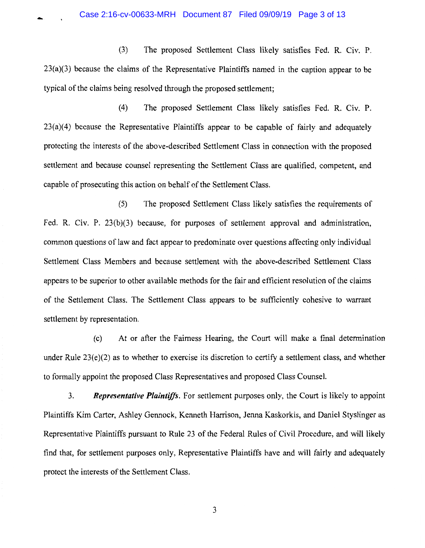-

(3) The proposed Settlement Class likely satisfies Fed. R. Civ. P. 23(a)(3) because the claims of the Representative Plaintiffs named in the caption appear to be typical of the claims being resolved through the proposed settlement;

(4) The proposed Settlement Class likely satisfies Fed. R. Civ. P. 23(a)(4) because the Representative Plaintiffs appear to be capable of fairly and adequately protecting the interests of the above-described Settlement Class in connection with the proposed settlement and because counsel representing the Settlement Class are qualified, competent, and capable of prosecuting this action on behalf of the Settlement Class.

(5) The proposed Settlement Class likely satisfies the requirements of Fed. R. Civ. P. 23(b)(3) because, for purposes of settlement approval and administration, common questions of law and fact appear to predominate over questions affecting only individual Settlement Class Members and because settlement with the above-described Settlement Class appears to be superior to other available methods for the fair and efficient resolution of the claims of the Settlement Class. The Settlement Class appears to be sufficiently cohesive to warrant settlement by representation.

(c) At or after the Fairness Hearing, the Court will make a final determination under Rule  $23(e)(2)$  as to whether to exercise its discretion to certify a settlement class, and whether to formally appoint the proposed Class Representatives and proposed Class Counsel.

3. *Representative Plaintiffs.* For settlement purposes only, the Court is likely to appoint Plaintiffs Kim Carter, Ashley Gennock, Kenneth Harrison, Jenna Kaskorkis, and Daniel Styslinger as Representative Plaintiffs pursuant to Rule 23 of the Federal Rules of Civil Procedure, and will likely find that, for settlement purposes only, Representative Plaintiffs have and will fairly and adequately protect the interests of the Settlement Class.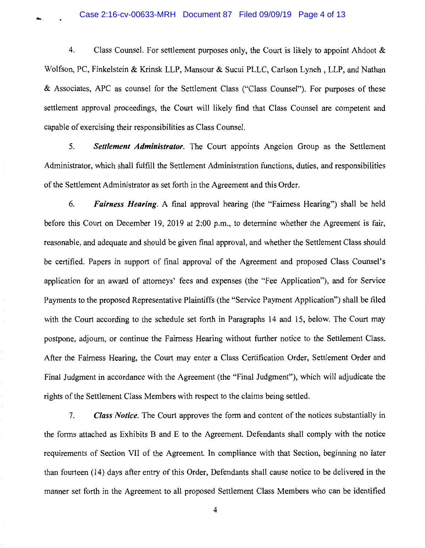-

4. Class Counsel. For settlement purposes only, the Court is likely to appoint Ahdoot & Wolfson, PC, Finkelstein & Krinsk LLP, Mansour & Sucui PLLC, Carlson Lynch, LLP, and Nathan & Associates, APC as counsel for the Settlement Class ("Class Counsel"). For purposes of these settlement approval proceedings, the Court will likely find that Class Counsel are competent and capable of exercising their responsibilities as Class Counsel.

5. *Settlement Administrator.* The Court appoints Angeion Group as the Settlement Administrator, which shall fulfill the Settlement Administration functions, duties, and responsibilities of the Settlement Administrator as set forth in the Agreement and this Order.

6. *Fairness Hearing.* A final approval hearing (the "Fairness Hearing") shall be held before this Court on December 19, 2019 at 2:00 p.m., to determine whether the Agreement is fair, reasonable, and adequate and should be given final approval, and whether the Settlement Class should be certified. Papers in support of final approval of the Agreement and proposed Class Counsel's application for an award of attorneys' fees and expenses (the "Fee Application"), and for Service Payments to the proposed Representative Plaintiffs (the "Service Payment Application") shall be filed with the Court according to the schedule set forth in Paragraphs 14 and 15, below. The Court may postpone, adjourn, or continue the Fairness Hearing without further notice to the Settlement Class. After the Fairness Hearing, the Court may enter a Class Certification Order, Settlement Order and Final Judgment in accordance with the Agreement (the "Final Judgment"), which will adjudicate the rights of the Settlement Class Members with respect to the claims being settled.

7. *Class Notice.* The Court approves the form and content of the notices substantially in the forms attached as Exhibits B and E to the Agreement. Defendants shall comply with the notice requirements of Section VII of the Agreement. In compliance with that Section, beginning no later than fourteen (14) days after entry of this Order, Defendants shall cause notice to be delivered in the manner set forth in the Agreement to all proposed Settlement Class Members who can be identified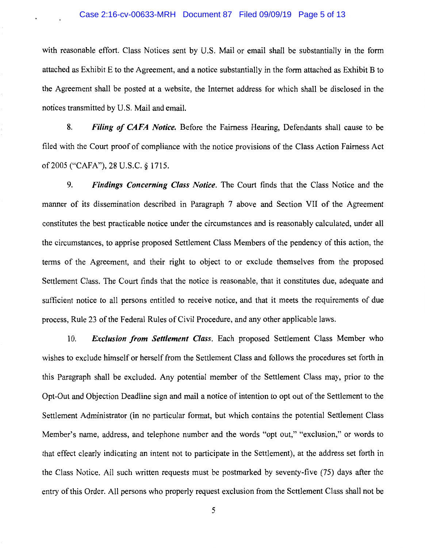#### Case 2:16-cv-00633-MRH Document 87 Filed 09/09/19 Page 5 of 13

with reasonable effort. Class Notices sent by U.S. Mail or email shall be substantially in the form attached as Exhibit E to the Agreement, and a notice substantially in the form attached as Exhibit B to the Agreement shall be posted at a website, the Internet address for which shall be disclosed in the notices transmitted by U.S. Mail and email.

8. *Filing of CAFA Notice*. Before the Fairness Hearing, Defendants shall cause to be filed with the Court proof of compliance with the notice provisions of the Class Action Fairness Act of2005 ("CAFA"), 28 U.S.C. § 1715.

9. *Findings Concerning Class Notice.* The Court finds that the Class Notice and the manner of its dissemination described in Paragraph 7 above and Section VII of the Agreement constitutes the best practicable notice under the circumstances and is reasonably calculated, under all the circumstances, to apprise proposed Settlement Class Members of the pendency of this action, the terms of the Agreement, and their right to object to or exclude themselves from the proposed Settlement Class. The Court finds that the notice is reasonable, that it constitutes due, adequate and sufficient notice to all persons entitled to receive notice, and that it meets the requirements of due process, Rule 23 of the Federal Rules of Civil Procedure, and any other applicable laws.

10. *Exclusion from Settlement Class.* Each proposed Settlement Class Member who wishes to exclude himself or herself from the Settlement Class and follows the procedures set forth in this Paragraph shall be excluded. Any potential member of the Settlement Class may, prior to the Opt-Out and Objection Deadline sign and mail a notice of intention to opt out of the Settlement to the Settlement Administrator (in no particular format, but which contains the potential Settlement Class Member's name, address, and telephone number and the words "opt out," "exclusion," or words to that effect clearly indicating an intent not to participate in the Settlement), at the address set forth in the Class Notice. All such written requests must be postmarked by seventy-five (75) days after the entry of this Order. All persons who properly request exclusion from the Settlement Class shall not be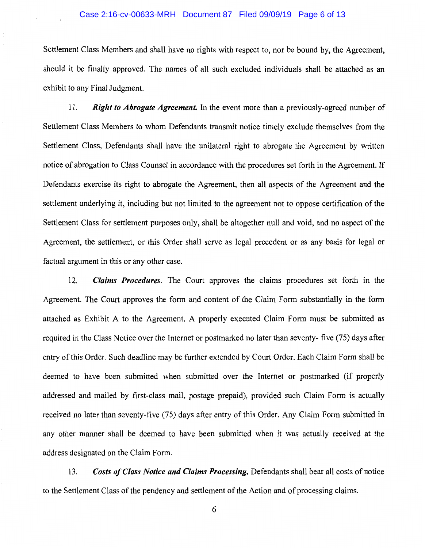#### Case 2:16-cv-00633-MRH Document 87 Filed 09/09/19 Page 6 of 13

Settlement Class Members and shall have no rights with respect to, nor be bound by, the Agreement, should it be finally approved. The names of all such excluded individuals shall be attached as an exhibit to any Final Judgment.

11. *Right to Abrogate Agreement* In the event more than a previously-agreed number of Settlement Class Members to whom Defendants transmit notice timely exclude themselves from the Settlement Class, Defendants shall have the unilateral right to abrogate the Agreement by written notice of abrogation to Class Counsel in accordance with the procedures set forth in the Agreement. If Defendants exercise its right to abrogate the Agreement, then all aspects of the Agreement and the settlement underlying it, including but not limited to the agreement not to oppose certification of the Settlement Class for settlement purposes only, shall be altogether null and void, and no aspect of the Agreement, the settlement, or this Order shall serve as legal precedent or as any basis for legal or factual argument in this or any other case.

12. *Claims Procedures.* The Court approves the claims procedures set forth in the Agreement. The Court approves the form and content of the Claim Form substantially in the form attached as Exhibit A to the Agreement. A properly executed Claim Form must be submitted as required in the Class Notice over the Internet or postmarked no later than seventy- five (75) days after entry of this Order. Such deadline may be further extended by Court Order. Each Claim Form shall be deemed to have been submitted when submitted over the Internet or postmarked (if properly addressed and mailed by first-class mail, postage prepaid), provided such Claim Form is actually received no later than seventy-five (75) days after entry of this Order. Any Claim Form submitted in any other manner shall be deemed to have been submitted when it was actually received at the address designated on the Claim Form.

13. *Costs of Class Notice and Claims Processing.* Defendants shall bear all costs of notice to the Settlement Class of the pendency and settlement of the Action and of processing claims.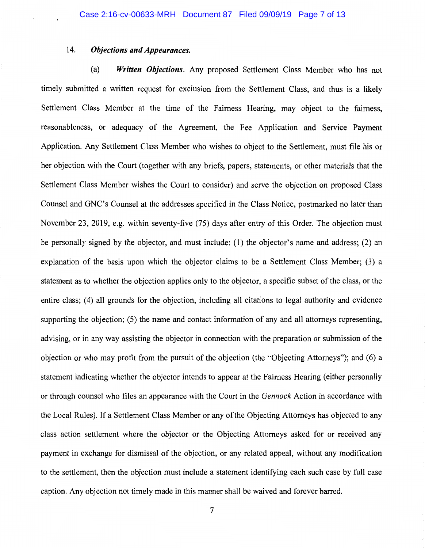## 14. *Objections and Appearances.*

(a) *Written Objections.* Any proposed Settlement Class Member who has not timely submitted a written request for exclusion from the Settlement Class, and thus is a likely Settlement Class Member at the time of the Fairness Hearing, may object to the fairness, reasonableness, or adequacy of the Agreement, the Fee Application and Service Payment Application. Any Settlement Class Member who wishes to object to the Settlement, must file his or her objection with the Court (together with any briefs, papers, statements, or other materials that the Settlement Class Member wishes the Court to consider) and serve the objection on proposed Class Counsel and GNC's Counsel at the addresses specified in the Class Notice, postmarked no later than November 23, 2019, e.g. within seventy-five (75) days after entry of this Order. The objection must be personally signed by the objector, and must include: (1) the objector's name and address; (2) an explanation of the basis upon which the objector claims to be a Settlement Class Member; (3) a statement as to whether the objection applies only to the objector, a specific subset of the class, or the entire class; (4) all grounds for the objection, including all citations to legal authority and evidence supporting the objection; (5) the name and contact information of any and all attorneys representing, advising, or in any way assisting the objector in connection with the preparation or submission of the objection or who may profit from the pursuit of the objection (the "Objecting Attorneys"); and (6) a statement indicating whether the objector intends to appear at the Fairness Hearing (either personally or through counsel who files an appearance with the Court in the *Gennock* Action in accordance with the Local Rules). If a Settlement Class Member or any of the Objecting Attorneys has objected to any class action settlement where the objector or the Objecting Attorneys asked for or received any payment in exchange for dismissal of the objection, or any related appeal, without any modification to the settlement, then the objection must include a statement identifying each such case by full case caption. Any objection not timely made in this manner shall be waived and forever barred.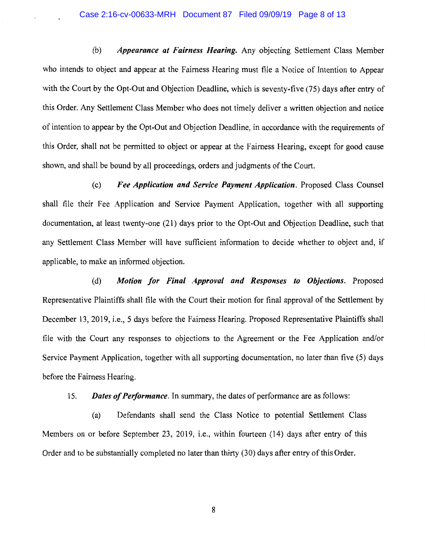#### Case 2:16-cv-00633-MRH Document 87 Filed 09/09/19 Page 8 of 13

(b) *Appearance at Fairness Hearing.* Any objecting Settlement Class Member who intends to object and appear at the Fairness Hearing must file a Notice of Intention to Appear with the Court by the Opt-Out and Objection Deadline, which is seventy-five (75) days after entry of this Order. Any Settlement Class Member who does not timely deliver a written objection and notice of intention to appear by the Opt-Out and Objection Deadline, in accordance with the requirements of this Order, shall not be permitted to object or appear at the Fairness Hearing, except for good cause shown, and shall be bound by all proceedings, orders and judgments of the Court.

(c) *Fee Application and Service Payment Application.* Proposed Class Counsel shall file their Fee Application and Service Payment Application, together with all supporting documentation, at least twenty-one (21) days prior to the Opt-Out and Objection Deadline, such that any Settlement Class Member will have sufficient information to decide whether to object and, if applicable, to make an informed objection.

(d) *Motion for Final Approval and Responses to Objections.* Proposed Representative Plaintiffs shall file with the Court their motion for final approval of the Settlement by December 13, 2019, i.e., 5 days before the Fairness Hearing. Proposed Representative Plaintiffs shall file with the Court any responses to objections to the Agreement or the Fee Application and/or Service Payment Application, together with all supporting documentation, no later than five (5) days before the Fairness Hearing.

15. *Dates of Performance.* In summary, the dates of performance are as follows:

(a) Defendants shall send the Class Notice to potential Settlement Class Members on or before September 23, 2019, i.e., within fourteen (14) days after entry of this Order and to be substantially completed no later than thirty (30) days after entry of this Order.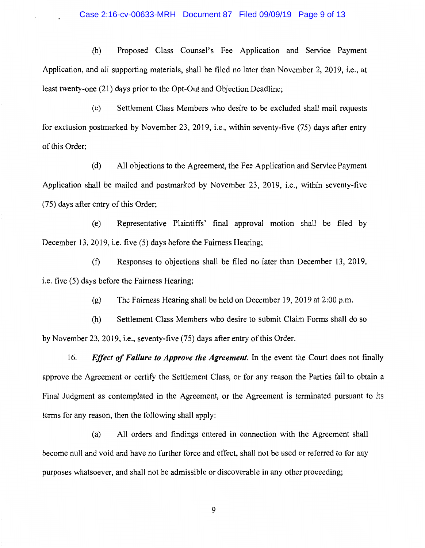#### Case 2:16-cv-00633-MRH Document 87 Filed 09/09/19 Page 9 of 13

(b) Proposed Class Counsel's Fee Application and Service Payment Application, and all supporting materials, shall be filed no later than November 2, 2019, i.e., at least twenty-one (21) days prior to the Opt-Out and Objection Deadline;

( c) Settlement Class Members who desire to be excluded shall mail requests for exclusion postmarked by November 23, 2019, i.e., within seventy-five (75) days after entry of this Order;

(d) All objections to the Agreement, the Fee Application and Service Payment Application shall be mailed and postmarked by November 23, 2019, i.e., within seventy-five (75) days after entry of this Order;

(e) Representative Plaintiffs' final approval motion shall be filed by December 13, 2019, i.e. five (5) days before the Fairness Hearing;

(f) Responses to objections shall be filed no later than December 13, 2019, i.e. five (5) days before the Fairness Hearing;

(g) The Fairness Hearing shall be held on December 19, 2019 at 2:00 p.m.

(h) Settlement Class Members who desire to submit Claim Forms shall do so by November 23, 2019, i.e., seventy-five (75) days after entry of this Order.

16. *Effect of Failure to Approve the Agreement.* In the event the Court does not finally approve the Agreement or certify the Settlement Class, or for any reason the Parties fail to obtain a Final Judgment as contemplated in the Agreement, or the Agreement is terminated pursuant to its terms for any reason, then the following shall apply:

(a) All orders and findings entered in connection with the Agreement shall become null and void and have no further force and effect, shall not be used or referred to for any purposes whatsoever, and shall not be admissible or discoverable in any other proceeding;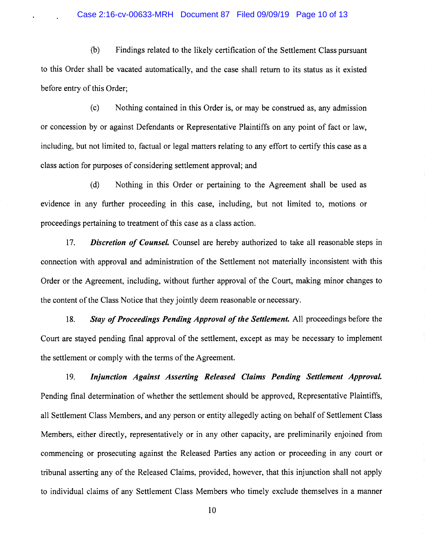#### Case 2:16-cv-00633-MRH Document 87 Filed 09/09/19 Page 10 of 13

(b) Findings related to the likely certification of the Settlement Class pursuant to this Order shall be vacated automatically, and the case shall return to its status as it existed before entry of this Order;

(c) Nothing contained in this Order is, or may be construed as, any admission or concession by or against Defendants or Representative Plaintiffs on any point of fact or law, including, but not limited to, factual or legal matters relating to any effort to certify this case as a class action for purposes of considering settlement approval; and

( d) Nothing in this Order or pertaining to the Agreement shall be used as evidence in any further proceeding in this case, including, but not limited to, motions or proceedings pertaining to treatment of this case as a class action.

17. *Discretion of Counsel.* Counsel are hereby authorized to take all reasonable steps in connection with approval and administration of the Settlement not materially inconsistent with this Order or the Agreement, including, without further approval of the Court, making minor changes to the content of the Class Notice that they jointly deem reasonable or necessary.

18. *Stay of Proceedings Pending Approval of the Settlement.* All proceedings before the Court are stayed pending final approval of the settlement, except as may be necessary to implement the settlement or comply with the terms of the Agreement.

19. *Injunction Against Asserting Released Claims Pending Settlement Approval.*  Pending final determination of whether the settlement should be approved, Representative Plaintiffs, all Settlement Class Members, and any person or entity allegedly acting on behalf of Settlement Class Members, either directly, representatively or in any other capacity, are preliminarily enjoined from commencing or prosecuting against the Released Parties any action or proceeding in any court or tribunal asserting any of the Released Claims, provided, however, that this injunction shall not apply to individual claims of any Settlement Class Members who timely exclude themselves in a manner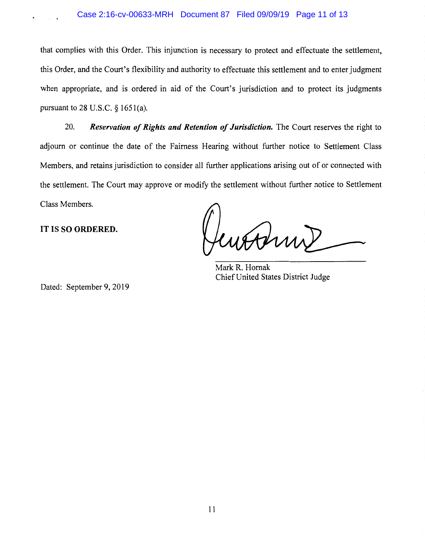that complies with this Order. This injunction is necessary to protect and effectuate the settlement, this Order, and the Court's flexibility and authority to effectuate this settlement and to enter judgment when appropriate, and is ordered in aid of the Court's jurisdiction and to protect its judgments pursuant to 28 U.S.C.  $\S$  1651(a).

20. *Reservation of Rights and Retention of Jurisdiction.* The Court reserves the right to adjourn or continue the date of the Fairness Hearing without further notice to Settlement Class Members, and retains jurisdiction to consider all further applications arising out of or connected with the settlement. The Court may approve or modify the settlement without further notice to Settlement Class Members.

**IT IS SO ORDERED.** 

Anni

Mark R. Hornak Chief United States District Judge

Dated: September 9, 2019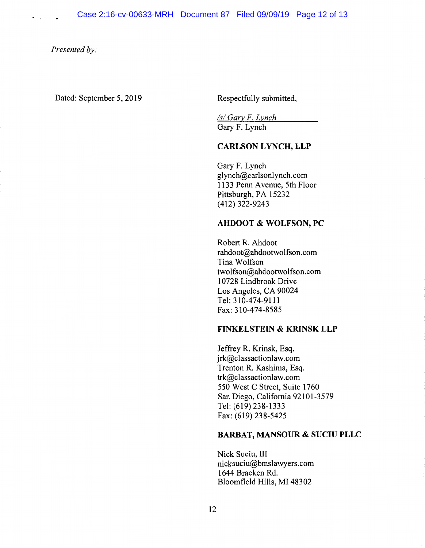*Presented* by:

 $\cdot$  .  $\cdot$  .

Dated: September 5, 2019

Respectfully submitted,

*Isl Gary F Lynch*  Gary F. Lynch

## **CARLSON LYNCH, LLP**

Gary F. Lynch glynch@carlsonlynch.com 1133 Penn Avenue, 5th Floor Pittsburgh, PA 15232 (412) 322-9243

## **AHDOOT & WOLFSON, PC**

Robert R. Ahdoot rahdoot@ahdootwolfson.com Tina Wolfson twolfson@ahdootwolfson.com 10728 Lindbrook Drive Los Angeles, CA 90024 Tel: 310-474-9111 Fax: 310-474-8585

# **FINKELSTEIN & KRINSK LLP**

Jeffrey R. Krinsk, Esq. jrk@classactionlaw.com Trenton R. Kashima, Esq. trk@classactionlaw.com 550 West C Street, Suite 1760 San Diego, California 92101-3579 Tel: (619) 238-1333 Fax: (619) 238-5425

## **BARBAT, MANSOUR & SUCIU PLLC**

Nick Suciu, III nicksuciu@bmslawyers.com 1644 Bracken Rd. Bloomfield Hills, MI 48302